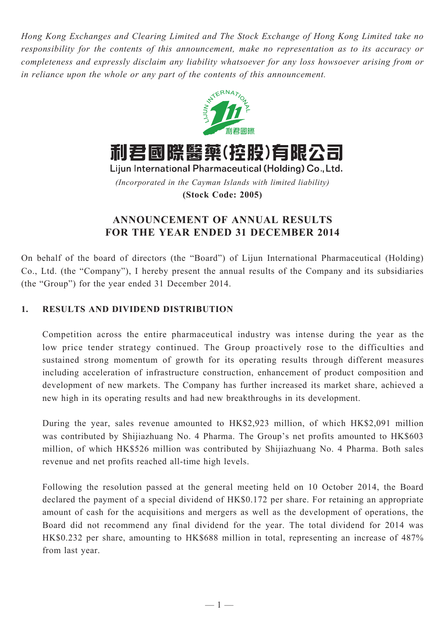*Hong Kong Exchanges and Clearing Limited and The Stock Exchange of Hong Kong Limited take no responsibility for the contents of this announcement, make no representation as to its accuracy or completeness and expressly disclaim any liability whatsoever for any loss howsoever arising from or in reliance upon the whole or any part of the contents of this announcement.*



利君國際醫藥(控股)有限公司

Lijun International Pharmaceutical (Holding) Co., Ltd. *(Incorporated in the Cayman Islands with limited liability)* **(Stock Code: 2005)**

# **ANNOUNCEMENT OF ANNUAL RESULTS FOR THE YEAR ENDED 31 DECEMBER 2014**

On behalf of the board of directors (the "Board") of Lijun International Pharmaceutical (Holding) Co., Ltd. (the "Company"), I hereby present the annual results of the Company and its subsidiaries (the "Group") for the year ended 31 December 2014.

# **1. RESULTS AND DIVIDEND DISTRIBUTION**

Competition across the entire pharmaceutical industry was intense during the year as the low price tender strategy continued. The Group proactively rose to the difficulties and sustained strong momentum of growth for its operating results through different measures including acceleration of infrastructure construction, enhancement of product composition and development of new markets. The Company has further increased its market share, achieved a new high in its operating results and had new breakthroughs in its development.

During the year, sales revenue amounted to HK\$2,923 million, of which HK\$2,091 million was contributed by Shijiazhuang No. 4 Pharma. The Group's net profits amounted to HK\$603 million, of which HK\$526 million was contributed by Shijiazhuang No. 4 Pharma. Both sales revenue and net profits reached all-time high levels.

Following the resolution passed at the general meeting held on 10 October 2014, the Board declared the payment of a special dividend of HK\$0.172 per share. For retaining an appropriate amount of cash for the acquisitions and mergers as well as the development of operations, the Board did not recommend any final dividend for the year. The total dividend for 2014 was HK\$0.232 per share, amounting to HK\$688 million in total, representing an increase of 487% from last year.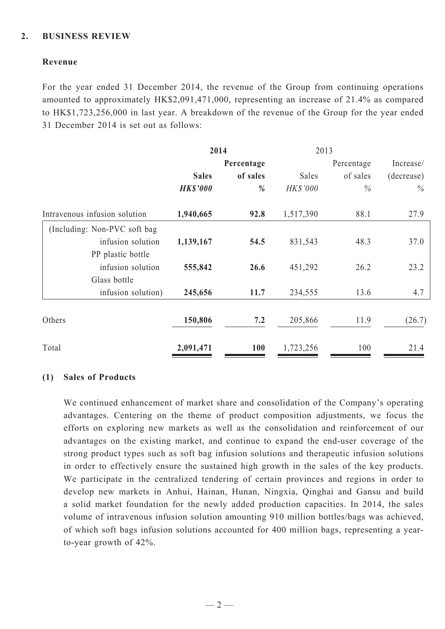## **2. BUSINESS REVIEW**

## **Revenue**

For the year ended 31 December 2014, the revenue of the Group from continuing operations amounted to approximately HK\$2,091,471,000, representing an increase of 21.4% as compared to HK\$1,723,256,000 in last year. A breakdown of the revenue of the Group for the year ended 31 December 2014 is set out as follows:

| 2014            |          | 2013      |          |            |  |
|-----------------|----------|-----------|----------|------------|--|
| Percentage      |          |           |          | Increase/  |  |
| <b>Sales</b>    | of sales | Sales     | of sales | (decrease) |  |
| <b>HK\$'000</b> | %        | HK\$'000  | $\%$     | $\%$       |  |
| 1,940,665       | 92.8     | 1,517,390 | 88.1     | 27.9       |  |
|                 |          |           |          |            |  |
| 1,139,167       | 54.5     | 831,543   | 48.3     | 37.0       |  |
|                 |          |           |          |            |  |
| 555,842         | 26.6     | 451,292   | 26.2     | 23.2       |  |
|                 |          |           |          |            |  |
| 245,656         | 11.7     | 234,555   | 13.6     | 4.7        |  |
|                 |          |           |          |            |  |
| 150,806         | 7.2      | 205,866   | 11.9     | (26.7)     |  |
| 2,091,471       | 100      | 1,723,256 | 100      | 21.4       |  |
|                 |          |           |          | Percentage |  |

## **(1) Sales of Products**

We continued enhancement of market share and consolidation of the Company's operating advantages. Centering on the theme of product composition adjustments, we focus the efforts on exploring new markets as well as the consolidation and reinforcement of our advantages on the existing market, and continue to expand the end-user coverage of the strong product types such as soft bag infusion solutions and therapeutic infusion solutions in order to effectively ensure the sustained high growth in the sales of the key products. We participate in the centralized tendering of certain provinces and regions in order to develop new markets in Anhui, Hainan, Hunan, Ningxia, Qinghai and Gansu and build a solid market foundation for the newly added production capacities. In 2014, the sales volume of intravenous infusion solution amounting 910 million bottles/bags was achieved, of which soft bags infusion solutions accounted for 400 million bags, representing a yearto-year growth of 42%.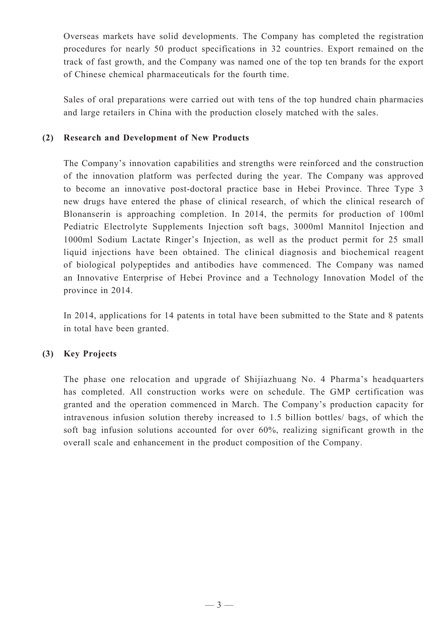Overseas markets have solid developments. The Company has completed the registration procedures for nearly 50 product specifications in 32 countries. Export remained on the track of fast growth, and the Company was named one of the top ten brands for the export of Chinese chemical pharmaceuticals for the fourth time.

Sales of oral preparations were carried out with tens of the top hundred chain pharmacies and large retailers in China with the production closely matched with the sales.

# **(2) Research and Development of New Products**

The Company's innovation capabilities and strengths were reinforced and the construction of the innovation platform was perfected during the year. The Company was approved to become an innovative post-doctoral practice base in Hebei Province. Three Type 3 new drugs have entered the phase of clinical research, of which the clinical research of Blonanserin is approaching completion. In 2014, the permits for production of 100ml Pediatric Electrolyte Supplements Injection soft bags, 3000ml Mannitol Injection and 1000ml Sodium Lactate Ringer's Injection, as well as the product permit for 25 small liquid injections have been obtained. The clinical diagnosis and biochemical reagent of biological polypeptides and antibodies have commenced. The Company was named an Innovative Enterprise of Hebei Province and a Technology Innovation Model of the province in 2014.

In 2014, applications for 14 patents in total have been submitted to the State and 8 patents in total have been granted.

## **(3) Key Projects**

The phase one relocation and upgrade of Shijiazhuang No. 4 Pharma's headquarters has completed. All construction works were on schedule. The GMP certification was granted and the operation commenced in March. The Company's production capacity for intravenous infusion solution thereby increased to 1.5 billion bottles/ bags, of which the soft bag infusion solutions accounted for over 60%, realizing significant growth in the overall scale and enhancement in the product composition of the Company.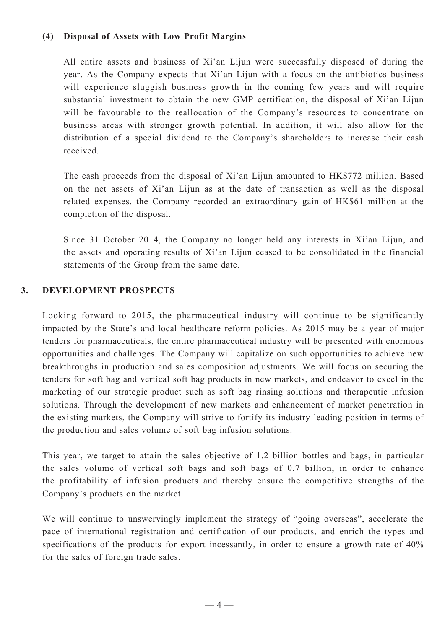## **(4) Disposal of Assets with Low Profit Margins**

All entire assets and business of Xi'an Lijun were successfully disposed of during the year. As the Company expects that Xi'an Lijun with a focus on the antibiotics business will experience sluggish business growth in the coming few years and will require substantial investment to obtain the new GMP certification, the disposal of Xi'an Lijun will be favourable to the reallocation of the Company's resources to concentrate on business areas with stronger growth potential. In addition, it will also allow for the distribution of a special dividend to the Company's shareholders to increase their cash received.

The cash proceeds from the disposal of Xi'an Lijun amounted to HK\$772 million. Based on the net assets of Xi'an Lijun as at the date of transaction as well as the disposal related expenses, the Company recorded an extraordinary gain of HK\$61 million at the completion of the disposal.

Since 31 October 2014, the Company no longer held any interests in Xi'an Lijun, and the assets and operating results of Xi'an Lijun ceased to be consolidated in the financial statements of the Group from the same date.

## **3. DEVELOPMENT PROSPECTS**

Looking forward to 2015, the pharmaceutical industry will continue to be significantly impacted by the State's and local healthcare reform policies. As 2015 may be a year of major tenders for pharmaceuticals, the entire pharmaceutical industry will be presented with enormous opportunities and challenges. The Company will capitalize on such opportunities to achieve new breakthroughs in production and sales composition adjustments. We will focus on securing the tenders for soft bag and vertical soft bag products in new markets, and endeavor to excel in the marketing of our strategic product such as soft bag rinsing solutions and therapeutic infusion solutions. Through the development of new markets and enhancement of market penetration in the existing markets, the Company will strive to fortify its industry-leading position in terms of the production and sales volume of soft bag infusion solutions.

This year, we target to attain the sales objective of 1.2 billion bottles and bags, in particular the sales volume of vertical soft bags and soft bags of 0.7 billion, in order to enhance the profitability of infusion products and thereby ensure the competitive strengths of the Company's products on the market.

We will continue to unswervingly implement the strategy of "going overseas", accelerate the pace of international registration and certification of our products, and enrich the types and specifications of the products for export incessantly, in order to ensure a growth rate of 40% for the sales of foreign trade sales.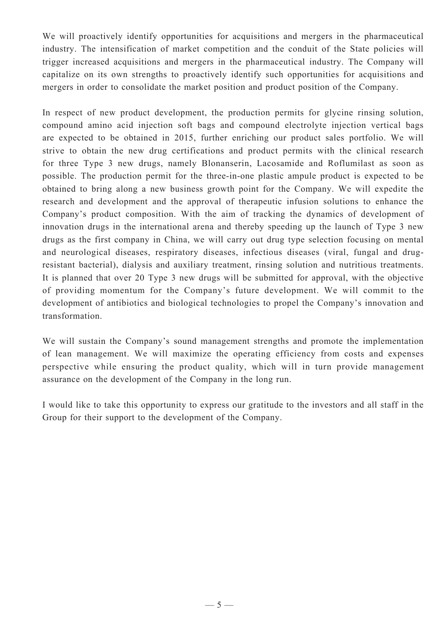We will proactively identify opportunities for acquisitions and mergers in the pharmaceutical industry. The intensification of market competition and the conduit of the State policies will trigger increased acquisitions and mergers in the pharmaceutical industry. The Company will capitalize on its own strengths to proactively identify such opportunities for acquisitions and mergers in order to consolidate the market position and product position of the Company.

In respect of new product development, the production permits for glycine rinsing solution, compound amino acid injection soft bags and compound electrolyte injection vertical bags are expected to be obtained in 2015, further enriching our product sales portfolio. We will strive to obtain the new drug certifications and product permits with the clinical research for three Type 3 new drugs, namely Blonanserin, Lacosamide and Roflumilast as soon as possible. The production permit for the three-in-one plastic ampule product is expected to be obtained to bring along a new business growth point for the Company. We will expedite the research and development and the approval of therapeutic infusion solutions to enhance the Company's product composition. With the aim of tracking the dynamics of development of innovation drugs in the international arena and thereby speeding up the launch of Type 3 new drugs as the first company in China, we will carry out drug type selection focusing on mental and neurological diseases, respiratory diseases, infectious diseases (viral, fungal and drugresistant bacterial), dialysis and auxiliary treatment, rinsing solution and nutritious treatments. It is planned that over 20 Type 3 new drugs will be submitted for approval, with the objective of providing momentum for the Company's future development. We will commit to the development of antibiotics and biological technologies to propel the Company's innovation and transformation.

We will sustain the Company's sound management strengths and promote the implementation of lean management. We will maximize the operating efficiency from costs and expenses perspective while ensuring the product quality, which will in turn provide management assurance on the development of the Company in the long run.

I would like to take this opportunity to express our gratitude to the investors and all staff in the Group for their support to the development of the Company.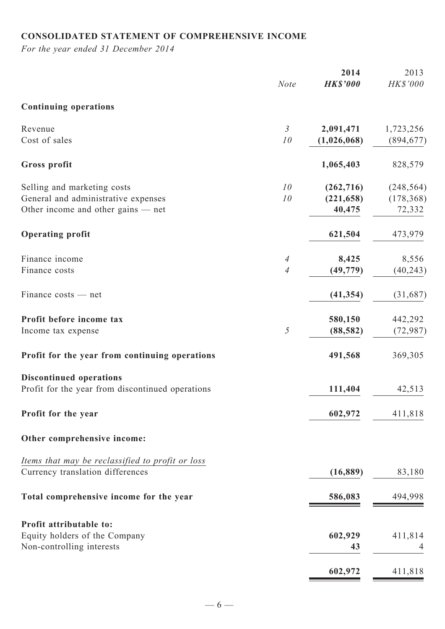# **Consolidated statement of comprehensive income**

*For the year ended 31 December 2014*

|                                                                                                            | <b>Note</b>                      | 2014<br><b>HK\$'000</b>            | 2013<br>HK\$'000                   |
|------------------------------------------------------------------------------------------------------------|----------------------------------|------------------------------------|------------------------------------|
| <b>Continuing operations</b>                                                                               |                                  |                                    |                                    |
| Revenue<br>Cost of sales                                                                                   | $\mathfrak{Z}$<br>10             | 2,091,471<br>(1,026,068)           | 1,723,256<br>(894, 677)            |
| Gross profit                                                                                               |                                  | 1,065,403                          | 828,579                            |
| Selling and marketing costs<br>General and administrative expenses<br>Other income and other gains $-$ net | 10<br>10                         | (262, 716)<br>(221, 658)<br>40,475 | (248, 564)<br>(178, 368)<br>72,332 |
| <b>Operating profit</b>                                                                                    |                                  | 621,504                            | 473,979                            |
| Finance income<br>Finance costs                                                                            | $\overline{A}$<br>$\overline{A}$ | 8,425<br>(49, 779)                 | 8,556<br>(40, 243)                 |
| Finance costs — net                                                                                        |                                  | (41, 354)                          | (31,687)                           |
| Profit before income tax<br>Income tax expense                                                             | 5                                | 580,150<br>(88, 582)               | 442,292<br>(72, 987)               |
| Profit for the year from continuing operations                                                             |                                  | 491,568                            | 369,305                            |
| <b>Discontinued operations</b><br>Profit for the year from discontinued operations                         |                                  | 111,404                            | 42,513                             |
| Profit for the year                                                                                        |                                  | 602,972                            | 411,818                            |
| Other comprehensive income:                                                                                |                                  |                                    |                                    |
| Items that may be reclassified to profit or loss<br>Currency translation differences                       |                                  | (16, 889)                          | 83,180                             |
| Total comprehensive income for the year                                                                    |                                  | 586,083                            | 494,998                            |
| Profit attributable to:<br>Equity holders of the Company<br>Non-controlling interests                      |                                  | 602,929<br>43                      | 411,814<br>4                       |
|                                                                                                            |                                  | 602,972                            | 411,818                            |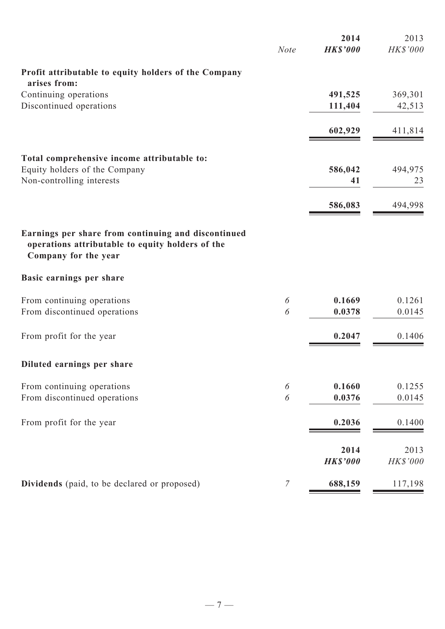|                                                                                                                                 | <b>Note</b>    | 2014<br><b>HK\$'000</b> | 2013<br><b>HK\$'000</b> |
|---------------------------------------------------------------------------------------------------------------------------------|----------------|-------------------------|-------------------------|
| Profit attributable to equity holders of the Company                                                                            |                |                         |                         |
| arises from:                                                                                                                    |                |                         |                         |
| Continuing operations                                                                                                           |                | 491,525                 | 369,301                 |
| Discontinued operations                                                                                                         |                | 111,404                 | 42,513                  |
|                                                                                                                                 |                | 602,929                 | 411,814                 |
| Total comprehensive income attributable to:                                                                                     |                |                         |                         |
| Equity holders of the Company                                                                                                   |                | 586,042                 | 494,975                 |
| Non-controlling interests                                                                                                       |                | 41                      | 23                      |
|                                                                                                                                 |                | 586,083                 | 494,998                 |
| Earnings per share from continuing and discontinued<br>operations attributable to equity holders of the<br>Company for the year |                |                         |                         |
| Basic earnings per share                                                                                                        |                |                         |                         |
| From continuing operations                                                                                                      | 6              | 0.1669                  | 0.1261                  |
| From discontinued operations                                                                                                    | 6              | 0.0378                  | 0.0145                  |
| From profit for the year                                                                                                        |                | 0.2047                  | 0.1406                  |
| Diluted earnings per share                                                                                                      |                |                         |                         |
| From continuing operations                                                                                                      | 6              | 0.1660                  | 0.1255                  |
| From discontinued operations                                                                                                    | 6              | 0.0376                  | 0.0145                  |
| From profit for the year                                                                                                        |                | 0.2036                  | 0.1400                  |
|                                                                                                                                 |                | 2014                    | 2013                    |
|                                                                                                                                 |                | <b>HK\$'000</b>         | HK\$'000                |
| Dividends (paid, to be declared or proposed)                                                                                    | $\overline{7}$ | 688,159                 | 117,198                 |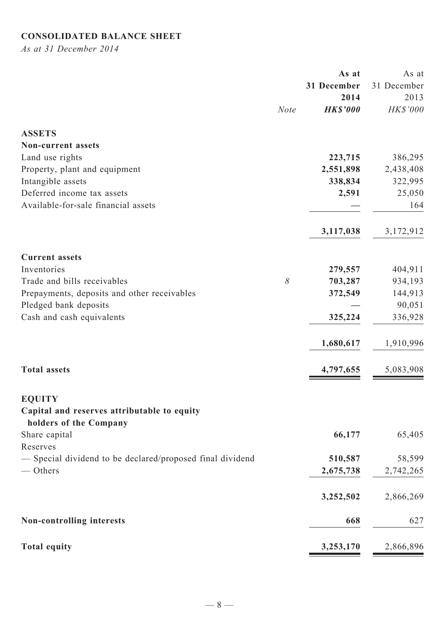# **Consolidated Balance Sheet**

*As at 31 December 2014*

|                                                                       |             | As at           | As at       |
|-----------------------------------------------------------------------|-------------|-----------------|-------------|
|                                                                       |             | 31 December     | 31 December |
|                                                                       |             | 2014            | 2013        |
|                                                                       | <b>Note</b> | <b>HK\$'000</b> | HK\$'000    |
| <b>ASSETS</b>                                                         |             |                 |             |
| <b>Non-current assets</b>                                             |             |                 |             |
| Land use rights                                                       |             | 223,715         | 386,295     |
| Property, plant and equipment                                         |             | 2,551,898       | 2,438,408   |
| Intangible assets                                                     |             | 338,834         | 322,995     |
| Deferred income tax assets                                            |             | 2,591           | 25,050      |
| Available-for-sale financial assets                                   |             |                 | 164         |
|                                                                       |             | 3,117,038       | 3,172,912   |
|                                                                       |             |                 |             |
| <b>Current assets</b>                                                 |             |                 |             |
| Inventories                                                           |             | 279,557         | 404,911     |
| Trade and bills receivables                                           | $\delta$    | 703,287         | 934,193     |
| Prepayments, deposits and other receivables                           |             | 372,549         | 144,913     |
| Pledged bank deposits                                                 |             |                 | 90,051      |
| Cash and cash equivalents                                             |             | 325,224         | 336,928     |
|                                                                       |             | 1,680,617       | 1,910,996   |
| <b>Total assets</b>                                                   |             | 4,797,655       | 5,083,908   |
|                                                                       |             |                 |             |
| <b>EQUITY</b>                                                         |             |                 |             |
| Capital and reserves attributable to equity<br>holders of the Company |             |                 |             |
| Share capital                                                         |             | 66,177          | 65,405      |
| Reserves                                                              |             |                 |             |
| - Special dividend to be declared/proposed final dividend             |             | 510,587         | 58,599      |
| — Others                                                              |             | 2,675,738       |             |
|                                                                       |             |                 | 2,742,265   |
|                                                                       |             | 3,252,502       | 2,866,269   |
| <b>Non-controlling interests</b>                                      |             | 668             | 627         |
| <b>Total equity</b>                                                   |             | 3,253,170       | 2,866,896   |
|                                                                       |             |                 |             |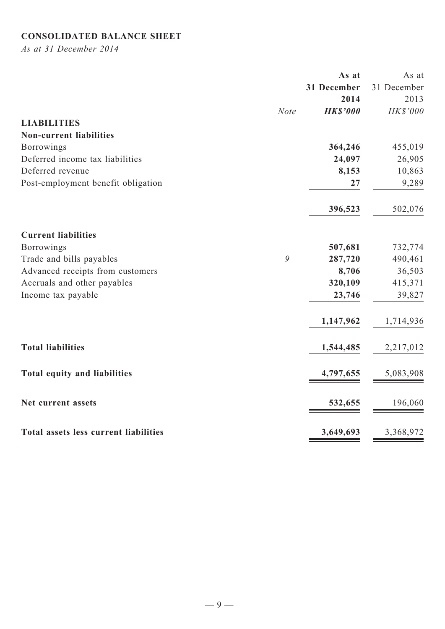# **Consolidated balance sheet**

*As at 31 December 2014*

|                                       |             | As at           | As at       |
|---------------------------------------|-------------|-----------------|-------------|
|                                       |             | 31 December     | 31 December |
|                                       |             | 2014            | 2013        |
|                                       | <b>Note</b> | <b>HK\$'000</b> | HK\$'000    |
| <b>LIABILITIES</b>                    |             |                 |             |
| <b>Non-current liabilities</b>        |             |                 |             |
| <b>Borrowings</b>                     |             | 364,246         | 455,019     |
| Deferred income tax liabilities       |             | 24,097          | 26,905      |
| Deferred revenue                      |             | 8,153           | 10,863      |
| Post-employment benefit obligation    |             | 27              | 9,289       |
|                                       |             | 396,523         | 502,076     |
| <b>Current liabilities</b>            |             |                 |             |
| Borrowings                            |             | 507,681         | 732,774     |
| Trade and bills payables              | 9           | 287,720         | 490,461     |
| Advanced receipts from customers      |             | 8,706           | 36,503      |
| Accruals and other payables           |             | 320,109         | 415,371     |
| Income tax payable                    |             | 23,746          | 39,827      |
|                                       |             | 1,147,962       | 1,714,936   |
| <b>Total liabilities</b>              |             | 1,544,485       | 2,217,012   |
| Total equity and liabilities          |             | 4,797,655       | 5,083,908   |
| Net current assets                    |             | 532,655         | 196,060     |
| Total assets less current liabilities |             | 3,649,693       | 3,368,972   |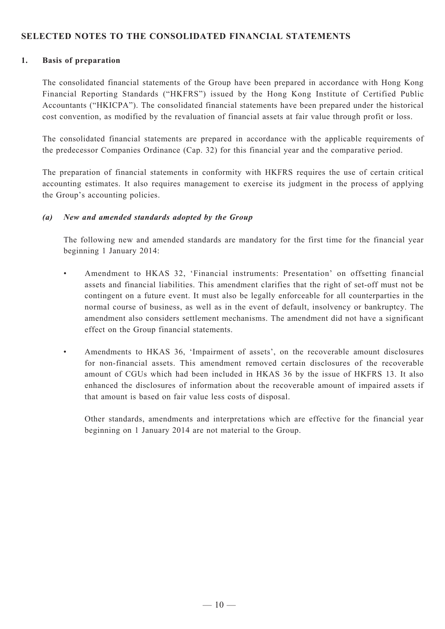## **SELECTED NOTES TO THE CONSOLIDATED FINANCIAL STATEMENTS**

#### **1. Basis of preparation**

The consolidated financial statements of the Group have been prepared in accordance with Hong Kong Financial Reporting Standards ("HKFRS") issued by the Hong Kong Institute of Certified Public Accountants ("HKICPA"). The consolidated financial statements have been prepared under the historical cost convention, as modified by the revaluation of financial assets at fair value through profit or loss.

The consolidated financial statements are prepared in accordance with the applicable requirements of the predecessor Companies Ordinance (Cap. 32) for this financial year and the comparative period.

The preparation of financial statements in conformity with HKFRS requires the use of certain critical accounting estimates. It also requires management to exercise its judgment in the process of applying the Group's accounting policies.

#### *(a) New and amended standards adopted by the Group*

The following new and amended standards are mandatory for the first time for the financial year beginning 1 January 2014:

- • Amendment to HKAS 32, 'Financial instruments: Presentation' on offsetting financial assets and financial liabilities. This amendment clarifies that the right of set-off must not be contingent on a future event. It must also be legally enforceable for all counterparties in the normal course of business, as well as in the event of default, insolvency or bankruptcy. The amendment also considers settlement mechanisms. The amendment did not have a significant effect on the Group financial statements.
- • Amendments to HKAS 36, 'Impairment of assets', on the recoverable amount disclosures for non-financial assets. This amendment removed certain disclosures of the recoverable amount of CGUs which had been included in HKAS 36 by the issue of HKFRS 13. It also enhanced the disclosures of information about the recoverable amount of impaired assets if that amount is based on fair value less costs of disposal.

Other standards, amendments and interpretations which are effective for the financial year beginning on 1 January 2014 are not material to the Group.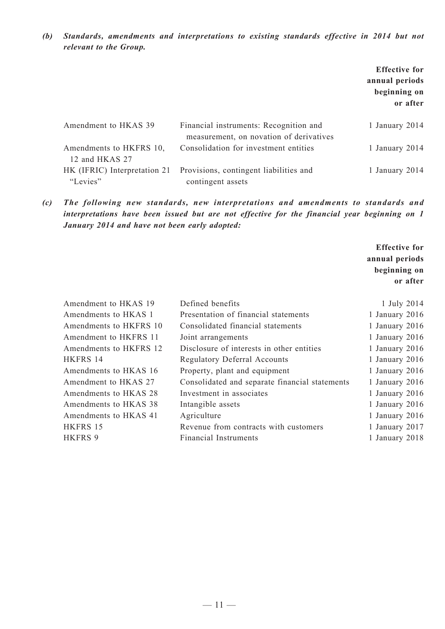*(b) Standards, amendments and interpretations to existing standards effective in 2014 but not relevant to the Group.*

|                                           |                                                                                   | <b>Effective for</b><br>annual periods<br>beginning on<br>or after |
|-------------------------------------------|-----------------------------------------------------------------------------------|--------------------------------------------------------------------|
| Amendment to HKAS 39                      | Financial instruments: Recognition and<br>measurement, on novation of derivatives | 1 January 2014                                                     |
| Amendments to HKFRS 10,<br>12 and HKAS 27 | Consolidation for investment entities                                             | 1 January 2014                                                     |
| HK (IFRIC) Interpretation 21<br>"Levies"  | Provisions, contingent liabilities and<br>contingent assets                       | 1 January 2014                                                     |

*(c) The following new standards, new interpretations and amendments to standards and interpretations have been issued but are not effective for the financial year beginning on 1 January 2014 and have not been early adopted:*

> **Effective for annual periods beginning on or after**

| Amendment to HKAS 19   | Defined benefits                               | 1 July 2014      |
|------------------------|------------------------------------------------|------------------|
| Amendments to HKAS 1   | Presentation of financial statements           | 1 January 2016   |
| Amendments to HKFRS 10 | Consolidated financial statements              | 1 January 2016   |
| Amendment to HKFRS 11  | Joint arrangements                             | 1 January $2016$ |
| Amendments to HKFRS 12 | Disclosure of interests in other entities      | 1 January $2016$ |
| HKFRS 14               | <b>Regulatory Deferral Accounts</b>            | 1 January 2016   |
| Amendments to HKAS 16  | Property, plant and equipment                  | 1 January $2016$ |
| Amendment to HKAS 27   | Consolidated and separate financial statements | 1 January $2016$ |
| Amendments to HKAS 28  | Investment in associates                       | 1 January $2016$ |
| Amendments to HKAS 38  | Intangible assets                              | 1 January 2016   |
| Amendments to HKAS 41  | Agriculture                                    | 1 January 2016   |
| HKFRS 15               | Revenue from contracts with customers          | 1 January 2017   |
| <b>HKFRS 9</b>         | <b>Financial Instruments</b>                   | 1 January 2018   |
|                        |                                                |                  |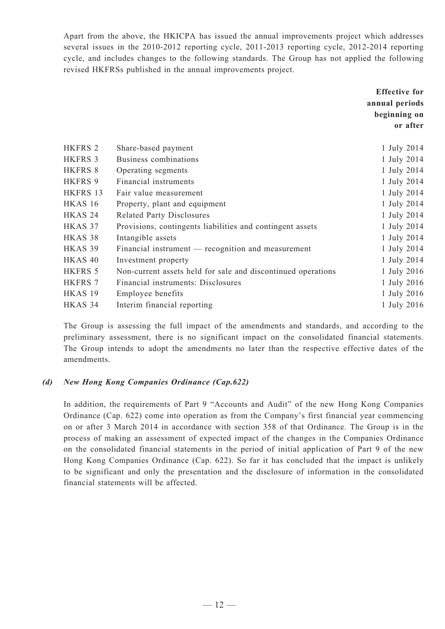Apart from the above, the HKICPA has issued the annual improvements project which addresses several issues in the 2010-2012 reporting cycle, 2011-2013 reporting cycle, 2012-2014 reporting cycle, and includes changes to the following standards. The Group has not applied the following revised HKFRSs published in the annual improvements project.

|                    |                                                              | <b>Effective for</b> |
|--------------------|--------------------------------------------------------------|----------------------|
|                    |                                                              | annual periods       |
|                    |                                                              | beginning on         |
|                    |                                                              | or after             |
|                    |                                                              |                      |
| HKFRS 2            | Share-based payment                                          | 1 July 2014          |
| <b>HKFRS 3</b>     | Business combinations                                        | 1 July 2014          |
| HKFRS 8            | Operating segments                                           | 1 July 2014          |
| HKFRS 9            | Financial instruments                                        | 1 July 2014          |
| HKFRS 13           | Fair value measurement                                       | 1 July 2014          |
| HKAS 16            | Property, plant and equipment                                | 1 July 2014          |
| HKAS <sub>24</sub> | <b>Related Party Disclosures</b>                             | 1 July 2014          |
| HKAS 37            | Provisions, contingents liabilities and contingent assets    | 1 July 2014          |
| HKAS <sub>38</sub> | Intangible assets                                            | 1 July 2014          |
| HKAS 39            | Financial instrument — recognition and measurement           | 1 July 2014          |
| HKAS <sub>40</sub> | Investment property                                          | 1 July 2014          |
| HKFRS 5            | Non-current assets held for sale and discontinued operations | 1 July 2016          |
| HKFRS 7            | Financial instruments: Disclosures                           | 1 July 2016          |
| HKAS <sub>19</sub> | Employee benefits                                            | 1 July 2016          |
| HKAS 34            | Interim financial reporting                                  | 1 July 2016          |

The Group is assessing the full impact of the amendments and standards, and according to the preliminary assessment, there is no significant impact on the consolidated financial statements. The Group intends to adopt the amendments no later than the respective effective dates of the amendments.

#### *(d) New Hong Kong Companies Ordinance (Cap.622)*

In addition, the requirements of Part 9 "Accounts and Audit" of the new Hong Kong Companies Ordinance (Cap. 622) come into operation as from the Company's first financial year commencing on or after 3 March 2014 in accordance with section 358 of that Ordinance. The Group is in the process of making an assessment of expected impact of the changes in the Companies Ordinance on the consolidated financial statements in the period of initial application of Part 9 of the new Hong Kong Companies Ordinance (Cap. 622). So far it has concluded that the impact is unlikely to be significant and only the presentation and the disclosure of information in the consolidated financial statements will be affected.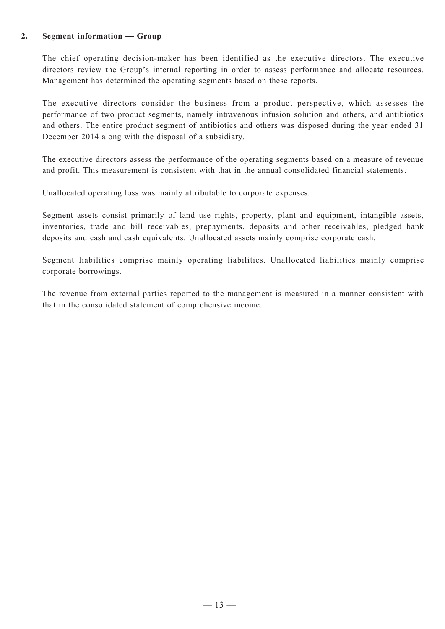#### **2. Segment information — Group**

The chief operating decision-maker has been identified as the executive directors. The executive directors review the Group's internal reporting in order to assess performance and allocate resources. Management has determined the operating segments based on these reports.

The executive directors consider the business from a product perspective, which assesses the performance of two product segments, namely intravenous infusion solution and others, and antibiotics and others. The entire product segment of antibiotics and others was disposed during the year ended 31 December 2014 along with the disposal of a subsidiary.

The executive directors assess the performance of the operating segments based on a measure of revenue and profit. This measurement is consistent with that in the annual consolidated financial statements.

Unallocated operating loss was mainly attributable to corporate expenses.

Segment assets consist primarily of land use rights, property, plant and equipment, intangible assets, inventories, trade and bill receivables, prepayments, deposits and other receivables, pledged bank deposits and cash and cash equivalents. Unallocated assets mainly comprise corporate cash.

Segment liabilities comprise mainly operating liabilities. Unallocated liabilities mainly comprise corporate borrowings.

The revenue from external parties reported to the management is measured in a manner consistent with that in the consolidated statement of comprehensive income.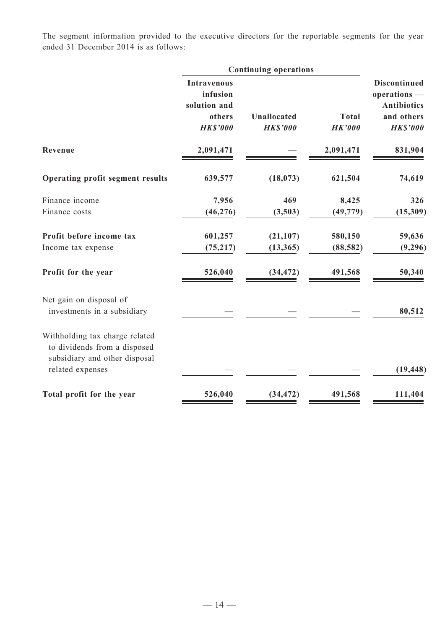The segment information provided to the executive directors for the reportable segments for the year ended 31 December 2014 is as follows:

|                                                                                                                     | <b>Continuing operations</b>                                                |                                       |                               |                                                                                            |
|---------------------------------------------------------------------------------------------------------------------|-----------------------------------------------------------------------------|---------------------------------------|-------------------------------|--------------------------------------------------------------------------------------------|
|                                                                                                                     | <b>Intravenous</b><br>infusion<br>solution and<br>others<br><b>HK\$'000</b> | <b>Unallocated</b><br><b>HK\$'000</b> | <b>Total</b><br><b>HK'000</b> | <b>Discontinued</b><br>operations -<br><b>Antibiotics</b><br>and others<br><b>HK\$'000</b> |
| Revenue                                                                                                             | 2,091,471                                                                   |                                       | 2,091,471                     | 831,904                                                                                    |
| Operating profit segment results                                                                                    | 639,577                                                                     | (18, 073)                             | 621,504                       | 74,619                                                                                     |
| Finance income<br>Finance costs                                                                                     | 7,956<br>(46, 276)                                                          | 469<br>(3,503)                        | 8,425<br>(49, 779)            | 326<br>(15,309)                                                                            |
| Profit before income tax<br>Income tax expense                                                                      | 601,257<br>(75, 217)                                                        | (21, 107)<br>(13, 365)                | 580,150<br>(88, 582)          | 59,636<br>(9,296)                                                                          |
| Profit for the year                                                                                                 | 526,040                                                                     | (34, 472)                             | 491,568                       | 50,340                                                                                     |
| Net gain on disposal of<br>investments in a subsidiary                                                              |                                                                             |                                       |                               | 80,512                                                                                     |
| Withholding tax charge related<br>to dividends from a disposed<br>subsidiary and other disposal<br>related expenses |                                                                             |                                       |                               | (19, 448)                                                                                  |
| Total profit for the year                                                                                           | 526,040                                                                     | (34, 472)                             | 491,568                       | 111,404                                                                                    |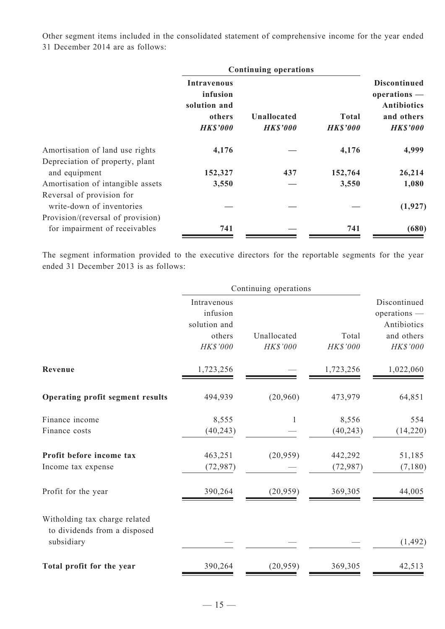Other segment items included in the consolidated statement of comprehensive income for the year ended 31 December 2014 are as follows:

|                                                        | <b>Continuing operations</b>                   |                 |                 |                                                           |
|--------------------------------------------------------|------------------------------------------------|-----------------|-----------------|-----------------------------------------------------------|
|                                                        | <b>Intravenous</b><br>infusion<br>solution and |                 |                 | <b>Discontinued</b><br>operations -<br><b>Antibiotics</b> |
|                                                        | others                                         | Unallocated     | <b>Total</b>    | and others                                                |
|                                                        | <b>HK\$'000</b>                                | <b>HK\$'000</b> | <b>HK\$'000</b> | <b>HK\$'000</b>                                           |
| Amortisation of land use rights                        | 4,176                                          |                 | 4,176           | 4,999                                                     |
| Depreciation of property, plant                        |                                                |                 |                 |                                                           |
| and equipment                                          | 152,327                                        | 437             | 152,764         | 26,214                                                    |
| Amortisation of intangible assets                      | 3,550                                          |                 | 3,550           | 1,080                                                     |
| Reversal of provision for<br>write-down of inventories |                                                |                 |                 | (1, 927)                                                  |
| Provision/(reversal of provision)                      |                                                |                 |                 |                                                           |
| for impairment of receivables                          | 741                                            |                 | 741             | (680)                                                     |

The segment information provided to the executive directors for the reportable segments for the year ended 31 December 2013 is as follows:

|                                                               | Continuing operations   |             |           |                              |
|---------------------------------------------------------------|-------------------------|-------------|-----------|------------------------------|
|                                                               | Intravenous<br>infusion |             |           | Discontinued<br>operations - |
|                                                               | solution and<br>others  | Unallocated | Total     | Antibiotics<br>and others    |
|                                                               | HK\$'000                | HK\$'000    | HK\$'000  | HK\$'000                     |
| Revenue                                                       | 1,723,256               |             | 1,723,256 | 1,022,060                    |
| Operating profit segment results                              | 494,939                 | (20,960)    | 473,979   | 64,851                       |
| Finance income                                                | 8,555                   | 1           | 8,556     | 554                          |
| Finance costs                                                 | (40, 243)               |             | (40, 243) | (14, 220)                    |
| Profit before income tax                                      | 463,251                 | (20, 959)   | 442,292   | 51,185                       |
| Income tax expense                                            | (72, 987)               |             | (72, 987) | (7,180)                      |
| Profit for the year                                           | 390,264                 | (20, 959)   | 369,305   | 44,005                       |
| Witholding tax charge related<br>to dividends from a disposed |                         |             |           |                              |
| subsidiary                                                    |                         |             |           | (1, 492)                     |
| Total profit for the year                                     | 390,264                 | (20, 959)   | 369,305   | 42,513                       |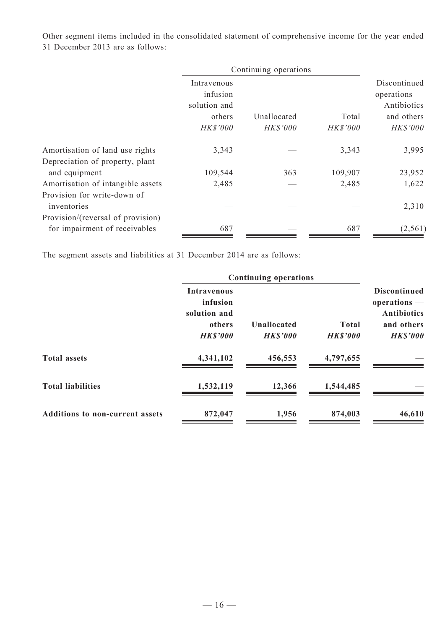Other segment items included in the consolidated statement of comprehensive income for the year ended 31 December 2013 are as follows:

|                                                  | Continuing operations                   |             |          |                                               |
|--------------------------------------------------|-----------------------------------------|-------------|----------|-----------------------------------------------|
|                                                  | Intravenous<br>infusion<br>solution and |             |          | Discontinued<br>$operations$ —<br>Antibiotics |
|                                                  | others                                  | Unallocated | Total    | and others                                    |
|                                                  | HK\$'000                                | HK\$'000    | HK\$'000 | HK\$'000                                      |
| Amortisation of land use rights                  | 3,343                                   |             | 3,343    | 3,995                                         |
| Depreciation of property, plant<br>and equipment | 109,544                                 | 363         | 109,907  | 23,952                                        |
| Amortisation of intangible assets                | 2,485                                   |             | 2,485    | 1,622                                         |
| Provision for write-down of<br>inventories       |                                         |             |          | 2,310                                         |
| Provision/(reversal of provision)                |                                         |             |          |                                               |
| for impairment of receivables                    | 687                                     |             | 687      | (2, 561)                                      |

The segment assets and liabilities at 31 December 2014 are as follows:

|                                        | <b>Continuing operations</b>                   |                                       |                                 |                                                             |
|----------------------------------------|------------------------------------------------|---------------------------------------|---------------------------------|-------------------------------------------------------------|
|                                        | <b>Intravenous</b><br>infusion<br>solution and |                                       |                                 | <b>Discontinued</b><br>$operations$ —<br><b>Antibiotics</b> |
|                                        | others<br><b>HK\$'000</b>                      | <b>Unallocated</b><br><b>HK\$'000</b> | <b>Total</b><br><b>HK\$'000</b> | and others<br><b>HK\$'000</b>                               |
| <b>Total assets</b>                    | 4,341,102                                      | 456,553                               | 4,797,655                       |                                                             |
| <b>Total liabilities</b>               | 1,532,119                                      | 12,366                                | 1,544,485                       |                                                             |
| <b>Additions to non-current assets</b> | 872,047                                        | 1,956                                 | 874,003                         | 46,610                                                      |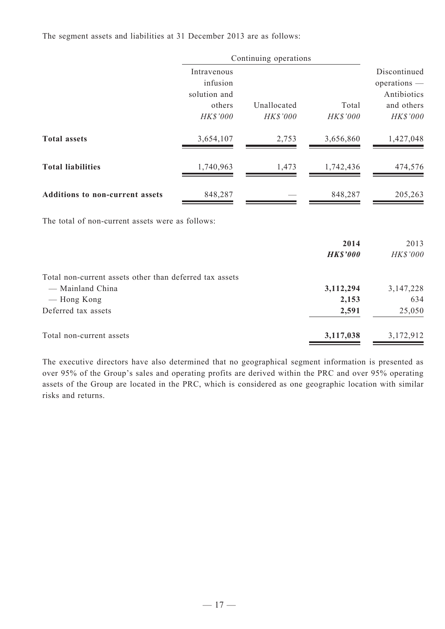The segment assets and liabilities at 31 December 2013 are as follows:

|                                                         |                         | Continuing operations |                    |                              |
|---------------------------------------------------------|-------------------------|-----------------------|--------------------|------------------------------|
|                                                         | Intravenous<br>infusion |                       |                    | Discontinued<br>operations - |
|                                                         | solution and<br>others  | Unallocated           | Total              | Antibiotics<br>and others    |
|                                                         | HK\$'000                | HK\$'000              | HK\$'000           | HK\$'000                     |
| <b>Total assets</b>                                     | 3,654,107               | 2,753                 | 3,656,860          | 1,427,048                    |
| <b>Total liabilities</b>                                | 1,740,963               | 1,473                 | 1,742,436          | 474,576                      |
| Additions to non-current assets                         | 848,287                 |                       | 848,287            | 205,263                      |
| The total of non-current assets were as follows:        |                         |                       |                    |                              |
|                                                         |                         |                       | 2014               | 2013                         |
|                                                         |                         |                       | <b>HK\$'000</b>    | HK\$'000                     |
| Total non-current assets other than deferred tax assets |                         |                       |                    |                              |
| - Mainland China<br>— Hong Kong                         |                         |                       | 3,112,294<br>2,153 | 3, 147, 228<br>634           |
| Deferred tax assets                                     |                         |                       | 2,591              | 25,050                       |
| Total non-current assets                                |                         |                       | 3,117,038          | 3,172,912                    |

The executive directors have also determined that no geographical segment information is presented as over 95% of the Group's sales and operating profits are derived within the PRC and over 95% operating assets of the Group are located in the PRC, which is considered as one geographic location with similar risks and returns.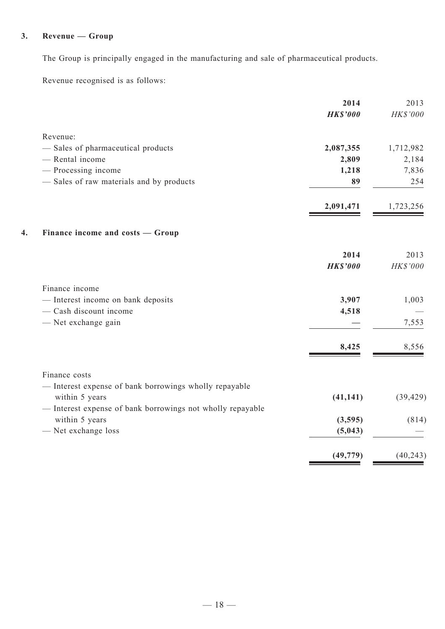# **3. Revenue — Group**

The Group is principally engaged in the manufacturing and sale of pharmaceutical products.

Revenue recognised is as follows:

|                                                            | 2014            | 2013      |
|------------------------------------------------------------|-----------------|-----------|
|                                                            | <b>HK\$'000</b> | HK\$'000  |
| Revenue:                                                   |                 |           |
| - Sales of pharmaceutical products                         | 2,087,355       | 1,712,982 |
| - Rental income                                            | 2,809           | 2,184     |
| - Processing income                                        | 1,218           | 7,836     |
| - Sales of raw materials and by products                   | 89              | 254       |
|                                                            | 2,091,471       | 1,723,256 |
| Finance income and costs — Group<br>4.                     |                 |           |
|                                                            | 2014            | 2013      |
|                                                            | <b>HK\$'000</b> | HK\$'000  |
| Finance income                                             |                 |           |
| - Interest income on bank deposits                         | 3,907           | 1,003     |
| - Cash discount income                                     | 4,518           |           |
| - Net exchange gain                                        |                 | 7,553     |
|                                                            | 8,425           | 8,556     |
| Finance costs                                              |                 |           |
| - Interest expense of bank borrowings wholly repayable     |                 |           |
| within 5 years                                             | (41, 141)       | (39, 429) |
| - Interest expense of bank borrowings not wholly repayable |                 |           |
| within 5 years                                             | (3,595)         | (814)     |
| - Net exchange loss                                        | (5,043)         |           |
|                                                            | (49, 779)       | (40, 243) |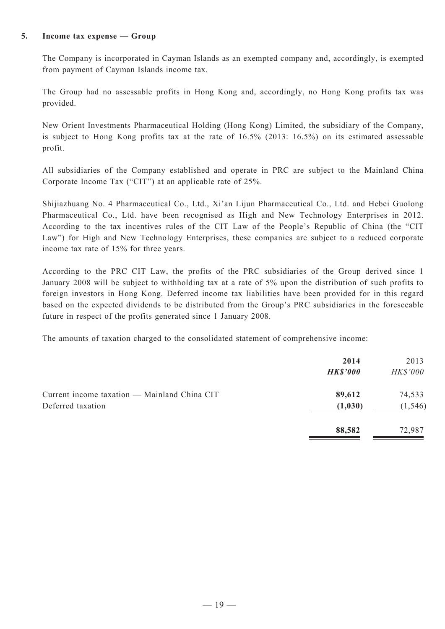#### **5. Income tax expense — Group**

The Company is incorporated in Cayman Islands as an exempted company and, accordingly, is exempted from payment of Cayman Islands income tax.

The Group had no assessable profits in Hong Kong and, accordingly, no Hong Kong profits tax was provided.

New Orient Investments Pharmaceutical Holding (Hong Kong) Limited, the subsidiary of the Company, is subject to Hong Kong profits tax at the rate of 16.5% (2013: 16.5%) on its estimated assessable profit.

All subsidiaries of the Company established and operate in PRC are subject to the Mainland China Corporate Income Tax ("CIT") at an applicable rate of 25%.

Shijiazhuang No. 4 Pharmaceutical Co., Ltd., Xi'an Lijun Pharmaceutical Co., Ltd. and Hebei Guolong Pharmaceutical Co., Ltd. have been recognised as High and New Technology Enterprises in 2012. According to the tax incentives rules of the CIT Law of the People's Republic of China (the "CIT Law") for High and New Technology Enterprises, these companies are subject to a reduced corporate income tax rate of 15% for three years.

According to the PRC CIT Law, the profits of the PRC subsidiaries of the Group derived since 1 January 2008 will be subject to withholding tax at a rate of 5% upon the distribution of such profits to foreign investors in Hong Kong. Deferred income tax liabilities have been provided for in this regard based on the expected dividends to be distributed from the Group's PRC subsidiaries in the foreseeable future in respect of the profits generated since 1 January 2008.

The amounts of taxation charged to the consolidated statement of comprehensive income:

|                                                                   | 2014<br><b>HK\$'000</b> | 2013<br><i>HK\$'000</i> |
|-------------------------------------------------------------------|-------------------------|-------------------------|
| Current income taxation — Mainland China CIT<br>Deferred taxation | 89,612<br>(1,030)       | 74,533<br>(1, 546)      |
|                                                                   | 88,582                  | 72,987                  |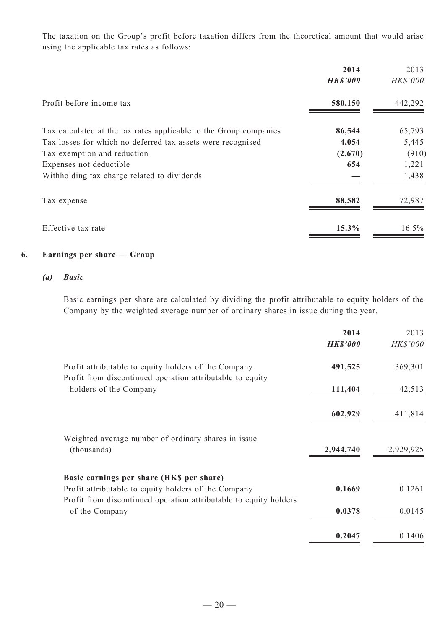The taxation on the Group's profit before taxation differs from the theoretical amount that would arise using the applicable tax rates as follows:

|                                                                   | 2014            | 2013     |
|-------------------------------------------------------------------|-----------------|----------|
|                                                                   | <b>HK\$'000</b> | HK\$'000 |
| Profit before income tax                                          | 580,150         | 442,292  |
| Tax calculated at the tax rates applicable to the Group companies | 86,544          | 65,793   |
| Tax losses for which no deferred tax assets were recognised       | 4,054           | 5,445    |
| Tax exemption and reduction                                       | (2,670)         | (910)    |
| Expenses not deductible                                           | 654             | 1,221    |
| Withholding tax charge related to dividends                       |                 | 1,438    |
| Tax expense                                                       | 88,582          | 72,987   |
| Effective tax rate                                                | 15.3%           | $16.5\%$ |

#### **6. Earnings per share — Group**

#### *(a) Basic*

Basic earnings per share are calculated by dividing the profit attributable to equity holders of the Company by the weighted average number of ordinary shares in issue during the year.

|                                                                                                                   | 2014            | 2013      |
|-------------------------------------------------------------------------------------------------------------------|-----------------|-----------|
|                                                                                                                   | <b>HK\$'000</b> | HK\$'000  |
| Profit attributable to equity holders of the Company<br>Profit from discontinued operation attributable to equity | 491,525         | 369,301   |
| holders of the Company                                                                                            | 111,404         | 42,513    |
|                                                                                                                   | 602,929         | 411,814   |
| Weighted average number of ordinary shares in issue<br>(thousands)                                                | 2,944,740       | 2,929,925 |
| Basic earnings per share (HK\$ per share)                                                                         |                 |           |
| Profit attributable to equity holders of the Company                                                              | 0.1669          | 0.1261    |
| Profit from discontinued operation attributable to equity holders<br>of the Company                               | 0.0378          | 0.0145    |
|                                                                                                                   | 0.2047          | 0.1406    |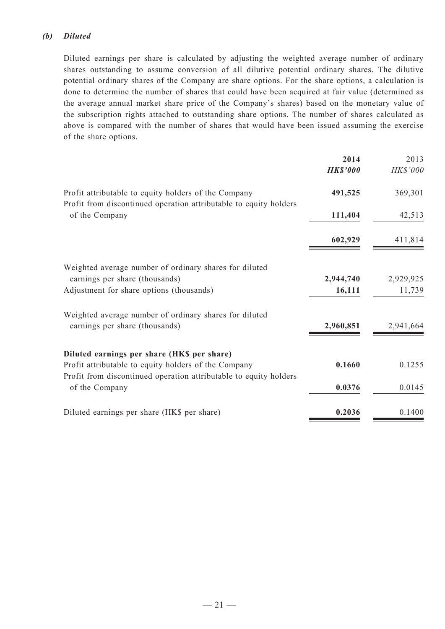### *(b) Diluted*

Diluted earnings per share is calculated by adjusting the weighted average number of ordinary shares outstanding to assume conversion of all dilutive potential ordinary shares. The dilutive potential ordinary shares of the Company are share options. For the share options, a calculation is done to determine the number of shares that could have been acquired at fair value (determined as the average annual market share price of the Company's shares) based on the monetary value of the subscription rights attached to outstanding share options. The number of shares calculated as above is compared with the number of shares that would have been issued assuming the exercise of the share options.

|                                                                                     | 2014            | 2013      |
|-------------------------------------------------------------------------------------|-----------------|-----------|
|                                                                                     | <b>HK\$'000</b> | HK\$'000  |
| Profit attributable to equity holders of the Company                                | 491,525         | 369,301   |
| Profit from discontinued operation attributable to equity holders<br>of the Company | 111,404         | 42,513    |
|                                                                                     | 602,929         | 411,814   |
| Weighted average number of ordinary shares for diluted                              |                 |           |
| earnings per share (thousands)                                                      | 2,944,740       | 2,929,925 |
| Adjustment for share options (thousands)                                            | 16,111          | 11,739    |
| Weighted average number of ordinary shares for diluted                              |                 |           |
| earnings per share (thousands)                                                      | 2,960,851       | 2,941,664 |
| Diluted earnings per share (HK\$ per share)                                         |                 |           |
| Profit attributable to equity holders of the Company                                | 0.1660          | 0.1255    |
| Profit from discontinued operation attributable to equity holders<br>of the Company | 0.0376          | 0.0145    |
| Diluted earnings per share (HK\$ per share)                                         | 0.2036          | 0.1400    |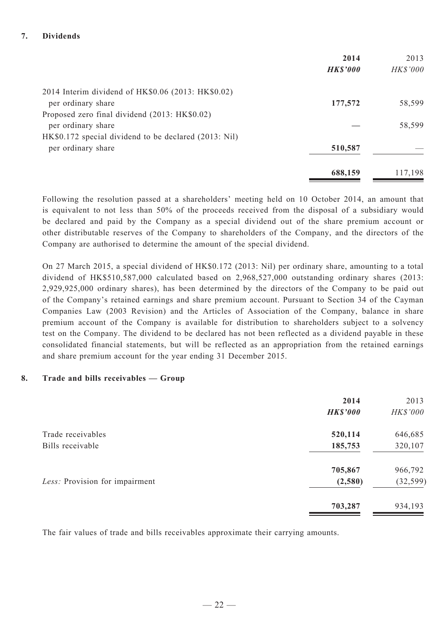### **7. Dividends**

|                                                       | 2014            | 2013     |
|-------------------------------------------------------|-----------------|----------|
|                                                       | <b>HK\$'000</b> | HK\$'000 |
| 2014 Interim dividend of HK\$0.06 (2013: HK\$0.02)    |                 |          |
| per ordinary share                                    | 177,572         | 58,599   |
| Proposed zero final dividend (2013: HK\$0.02)         |                 |          |
| per ordinary share                                    |                 | 58,599   |
| HK\$0.172 special dividend to be declared (2013: Nil) |                 |          |
| per ordinary share                                    | 510,587         |          |
|                                                       | 688,159         | 117,198  |

Following the resolution passed at a shareholders' meeting held on 10 October 2014, an amount that is equivalent to not less than 50% of the proceeds received from the disposal of a subsidiary would be declared and paid by the Company as a special dividend out of the share premium account or other distributable reserves of the Company to shareholders of the Company, and the directors of the Company are authorised to determine the amount of the special dividend.

On 27 March 2015, a special dividend of HK\$0.172 (2013: Nil) per ordinary share, amounting to a total dividend of HK\$510,587,000 calculated based on 2,968,527,000 outstanding ordinary shares (2013: 2,929,925,000 ordinary shares), has been determined by the directors of the Company to be paid out of the Company's retained earnings and share premium account. Pursuant to Section 34 of the Cayman Companies Law (2003 Revision) and the Articles of Association of the Company, balance in share premium account of the Company is available for distribution to shareholders subject to a solvency test on the Company. The dividend to be declared has not been reflected as a dividend payable in these consolidated financial statements, but will be reflected as an appropriation from the retained earnings and share premium account for the year ending 31 December 2015.

#### **8. Trade and bills receivables — Group**

|                                | 2014            | 2013      |
|--------------------------------|-----------------|-----------|
|                                | <b>HK\$'000</b> | HK\$'000  |
| Trade receivables              | 520,114         | 646,685   |
| Bills receivable               | 185,753         | 320,107   |
|                                | 705,867         | 966,792   |
| Less: Provision for impairment | (2,580)         | (32, 599) |
|                                | 703,287         | 934,193   |

The fair values of trade and bills receivables approximate their carrying amounts.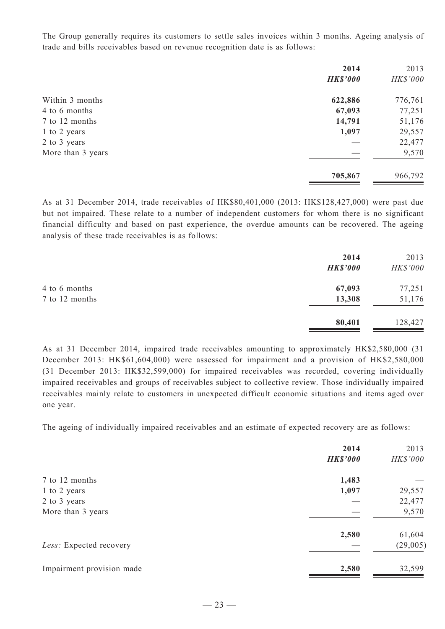The Group generally requires its customers to settle sales invoices within 3 months. Ageing analysis of trade and bills receivables based on revenue recognition date is as follows:

|                   | 2014            | 2013     |
|-------------------|-----------------|----------|
|                   | <b>HK\$'000</b> | HK\$'000 |
| Within 3 months   | 622,886         | 776,761  |
| 4 to 6 months     | 67,093          | 77,251   |
| 7 to 12 months    | 14,791          | 51,176   |
| 1 to 2 years      | 1,097           | 29,557   |
| 2 to 3 years      |                 | 22,477   |
| More than 3 years |                 | 9,570    |
|                   | 705,867         | 966,792  |

As at 31 December 2014, trade receivables of HK\$80,401,000 (2013: HK\$128,427,000) were past due but not impaired. These relate to a number of independent customers for whom there is no significant financial difficulty and based on past experience, the overdue amounts can be recovered. The ageing analysis of these trade receivables is as follows:

|                | 2014<br><b>HK\$'000</b> | 2013<br>HK\$'000 |
|----------------|-------------------------|------------------|
| 4 to 6 months  | 67,093                  | 77,251           |
| 7 to 12 months | 13,308                  | 51,176           |
|                | 80,401                  | 128,427          |

As at 31 December 2014, impaired trade receivables amounting to approximately HK\$2,580,000 (31 December 2013: HK\$61,604,000) were assessed for impairment and a provision of HK\$2,580,000 (31 December 2013: HK\$32,599,000) for impaired receivables was recorded, covering individually impaired receivables and groups of receivables subject to collective review. Those individually impaired receivables mainly relate to customers in unexpected difficult economic situations and items aged over one year.

The ageing of individually impaired receivables and an estimate of expected recovery are as follows:

|                           | 2014            | 2013     |
|---------------------------|-----------------|----------|
|                           | <b>HK\$'000</b> | HK\$'000 |
| 7 to 12 months            | 1,483           |          |
| 1 to 2 years              | 1,097           | 29,557   |
| 2 to 3 years              |                 | 22,477   |
| More than 3 years         |                 | 9,570    |
|                           | 2,580           | 61,604   |
| Less: Expected recovery   |                 | (29,005) |
| Impairment provision made | 2,580           | 32,599   |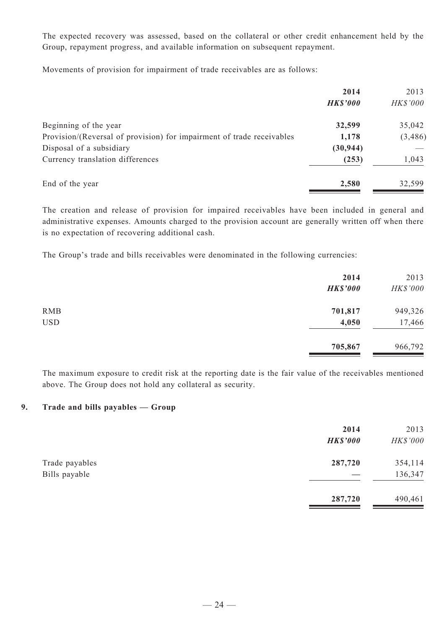The expected recovery was assessed, based on the collateral or other credit enhancement held by the Group, repayment progress, and available information on subsequent repayment.

Movements of provision for impairment of trade receivables are as follows:

|                                                                       | 2014            | 2013     |
|-----------------------------------------------------------------------|-----------------|----------|
|                                                                       | <b>HK\$'000</b> | HK\$'000 |
| Beginning of the year                                                 | 32,599          | 35,042   |
| Provision/(Reversal of provision) for impairment of trade receivables | 1,178           | (3, 486) |
| Disposal of a subsidiary                                              | (30, 944)       |          |
| Currency translation differences                                      | (253)           | 1,043    |
| End of the year                                                       | 2,580           | 32,599   |

The creation and release of provision for impaired receivables have been included in general and administrative expenses. Amounts charged to the provision account are generally written off when there is no expectation of recovering additional cash.

The Group's trade and bills receivables were denominated in the following currencies:

|            | 2014<br><b>HK\$'000</b> | 2013<br>HK\$'000 |
|------------|-------------------------|------------------|
| <b>RMB</b> | 701,817                 | 949,326          |
| <b>USD</b> | 4,050                   | 17,466           |
|            | 705,867                 | 966,792          |

The maximum exposure to credit risk at the reporting date is the fair value of the receivables mentioned above. The Group does not hold any collateral as security.

#### **9. Trade and bills payables — Group**

|                                 | 2014<br><b>HK\$'000</b> | 2013<br>HK\$'000   |
|---------------------------------|-------------------------|--------------------|
| Trade payables<br>Bills payable | 287,720                 | 354,114<br>136,347 |
|                                 | 287,720                 | 490,461            |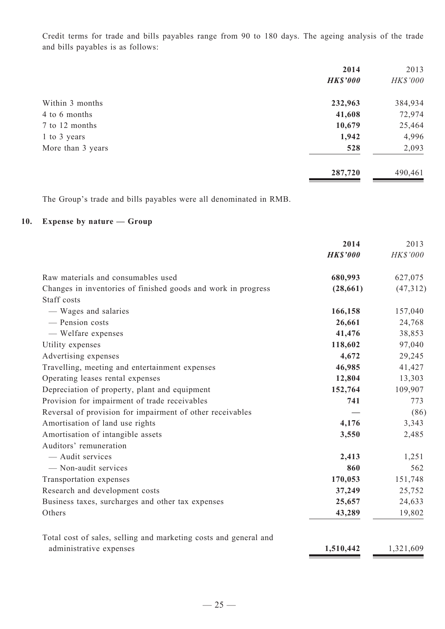Credit terms for trade and bills payables range from 90 to 180 days. The ageing analysis of the trade and bills payables is as follows:

|                   | 2014            | 2013     |
|-------------------|-----------------|----------|
|                   | <b>HK\$'000</b> | HK\$'000 |
| Within 3 months   | 232,963         | 384,934  |
| 4 to 6 months     | 41,608          | 72,974   |
| 7 to 12 months    | 10,679          | 25,464   |
| 1 to 3 years      | 1,942           | 4,996    |
| More than 3 years | 528             | 2,093    |
|                   | 287,720         | 490,461  |

The Group's trade and bills payables were all denominated in RMB.

# **10. Expense by nature — Group**

|                                                                  | 2014            | 2013      |
|------------------------------------------------------------------|-----------------|-----------|
|                                                                  | <b>HK\$'000</b> | HK\$'000  |
| Raw materials and consumables used                               | 680,993         | 627,075   |
| Changes in inventories of finished goods and work in progress    | (28, 661)       | (47, 312) |
| Staff costs                                                      |                 |           |
| — Wages and salaries                                             | 166,158         | 157,040   |
| - Pension costs                                                  | 26,661          | 24,768    |
| - Welfare expenses                                               | 41,476          | 38,853    |
| Utility expenses                                                 | 118,602         | 97,040    |
| Advertising expenses                                             | 4,672           | 29,245    |
| Travelling, meeting and entertainment expenses                   | 46,985          | 41,427    |
| Operating leases rental expenses                                 | 12,804          | 13,303    |
| Depreciation of property, plant and equipment                    | 152,764         | 109,907   |
| Provision for impairment of trade receivables                    | 741             | 773       |
| Reversal of provision for impairment of other receivables        |                 | (86)      |
| Amortisation of land use rights                                  | 4,176           | 3,343     |
| Amortisation of intangible assets                                | 3,550           | 2,485     |
| Auditors' remuneration                                           |                 |           |
| - Audit services                                                 | 2,413           | 1,251     |
| - Non-audit services                                             | 860             | 562       |
| Transportation expenses                                          | 170,053         | 151,748   |
| Research and development costs                                   | 37,249          | 25,752    |
| Business taxes, surcharges and other tax expenses                | 25,657          | 24,633    |
| Others                                                           | 43,289          | 19,802    |
| Total cost of sales, selling and marketing costs and general and |                 |           |
| administrative expenses                                          | 1,510,442       | 1,321,609 |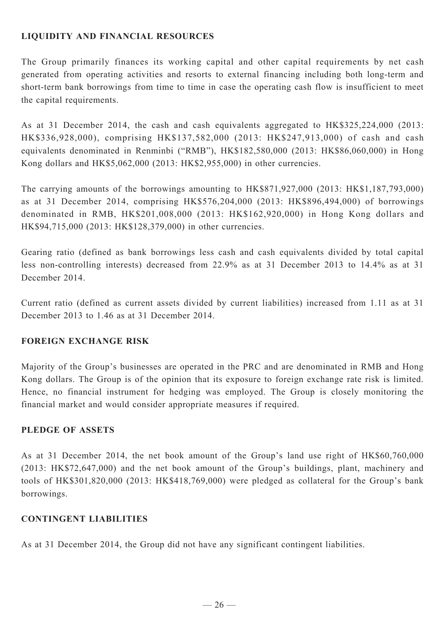# **LIQUIDITY AND FINANCIAL RESOURCES**

The Group primarily finances its working capital and other capital requirements by net cash generated from operating activities and resorts to external financing including both long-term and short-term bank borrowings from time to time in case the operating cash flow is insufficient to meet the capital requirements.

As at 31 December 2014, the cash and cash equivalents aggregated to HK\$325,224,000 (2013: HK\$336,928,000), comprising HK\$137,582,000 (2013: HK\$247,913,000) of cash and cash equivalents denominated in Renminbi ("RMB"), HK\$182,580,000 (2013: HK\$86,060,000) in Hong Kong dollars and HK\$5,062,000 (2013: HK\$2,955,000) in other currencies.

The carrying amounts of the borrowings amounting to HK\$871,927,000 (2013: HK\$1,187,793,000) as at 31 December 2014, comprising HK\$576,204,000 (2013: HK\$896,494,000) of borrowings denominated in RMB, HK\$201,008,000 (2013: HK\$162,920,000) in Hong Kong dollars and HK\$94,715,000 (2013: HK\$128,379,000) in other currencies.

Gearing ratio (defined as bank borrowings less cash and cash equivalents divided by total capital less non-controlling interests) decreased from 22.9% as at 31 December 2013 to 14.4% as at 31 December 2014.

Current ratio (defined as current assets divided by current liabilities) increased from 1.11 as at 31 December 2013 to 1.46 as at 31 December 2014.

# **FOREIGN EXCHANGE RISK**

Majority of the Group's businesses are operated in the PRC and are denominated in RMB and Hong Kong dollars. The Group is of the opinion that its exposure to foreign exchange rate risk is limited. Hence, no financial instrument for hedging was employed. The Group is closely monitoring the financial market and would consider appropriate measures if required.

# **PLEDGE OF ASSETS**

As at 31 December 2014, the net book amount of the Group's land use right of HK\$60,760,000 (2013: HK\$72,647,000) and the net book amount of the Group's buildings, plant, machinery and tools of HK\$301,820,000 (2013: HK\$418,769,000) were pledged as collateral for the Group's bank borrowings.

## **CONTINGENT LIABILITIES**

As at 31 December 2014, the Group did not have any significant contingent liabilities.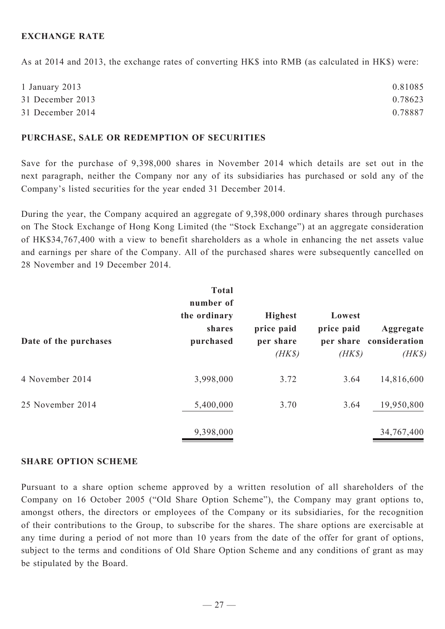## **EXCHANGE RATE**

As at 2014 and 2013, the exchange rates of converting HK\$ into RMB (as calculated in HK\$) were:

| 1 January 2013   | 0.81085 |
|------------------|---------|
| 31 December 2013 | 0.78623 |
| 31 December 2014 | 0.78887 |

#### **PURCHASE, SALE OR REDEMPTION OF SECURITIES**

Save for the purchase of 9,398,000 shares in November 2014 which details are set out in the next paragraph, neither the Company nor any of its subsidiaries has purchased or sold any of the Company's listed securities for the year ended 31 December 2014.

During the year, the Company acquired an aggregate of 9,398,000 ordinary shares through purchases on The Stock Exchange of Hong Kong Limited (the "Stock Exchange") at an aggregate consideration of HK\$34,767,400 with a view to benefit shareholders as a whole in enhancing the net assets value and earnings per share of the Company. All of the purchased shares were subsequently cancelled on 28 November and 19 December 2014.

| Date of the purchases | <b>Total</b><br>number of<br>the ordinary<br>shares<br>purchased | <b>Highest</b><br>price paid<br>per share<br>$(HK\$ | Lowest<br>price paid<br>$(HK\$ | Aggregate<br>per share consideration<br>$(HK\$ |
|-----------------------|------------------------------------------------------------------|-----------------------------------------------------|--------------------------------|------------------------------------------------|
| 4 November 2014       | 3,998,000                                                        | 3.72                                                | 3.64                           | 14,816,600                                     |
| 25 November 2014      | 5,400,000                                                        | 3.70                                                | 3.64                           | 19,950,800                                     |
|                       | 9,398,000                                                        |                                                     |                                | 34,767,400                                     |

#### **SHARE OPTION SCHEME**

Pursuant to a share option scheme approved by a written resolution of all shareholders of the Company on 16 October 2005 ("Old Share Option Scheme"), the Company may grant options to, amongst others, the directors or employees of the Company or its subsidiaries, for the recognition of their contributions to the Group, to subscribe for the shares. The share options are exercisable at any time during a period of not more than 10 years from the date of the offer for grant of options, subject to the terms and conditions of Old Share Option Scheme and any conditions of grant as may be stipulated by the Board.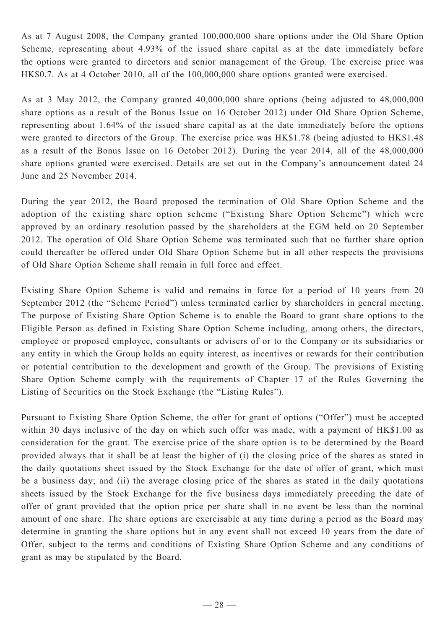As at 7 August 2008, the Company granted 100,000,000 share options under the Old Share Option Scheme, representing about 4.93% of the issued share capital as at the date immediately before the options were granted to directors and senior management of the Group. The exercise price was HK\$0.7. As at 4 October 2010, all of the 100,000,000 share options granted were exercised.

As at 3 May 2012, the Company granted 40,000,000 share options (being adjusted to 48,000,000 share options as a result of the Bonus Issue on 16 October 2012) under Old Share Option Scheme, representing about 1.64% of the issued share capital as at the date immediately before the options were granted to directors of the Group. The exercise price was HK\$1.78 (being adjusted to HK\$1.48 as a result of the Bonus Issue on 16 October 2012). During the year 2014, all of the 48,000,000 share options granted were exercised. Details are set out in the Company's announcement dated 24 June and 25 November 2014.

During the year 2012, the Board proposed the termination of Old Share Option Scheme and the adoption of the existing share option scheme ("Existing Share Option Scheme") which were approved by an ordinary resolution passed by the shareholders at the EGM held on 20 September 2012. The operation of Old Share Option Scheme was terminated such that no further share option could thereafter be offered under Old Share Option Scheme but in all other respects the provisions of Old Share Option Scheme shall remain in full force and effect.

Existing Share Option Scheme is valid and remains in force for a period of 10 years from 20 September 2012 (the "Scheme Period") unless terminated earlier by shareholders in general meeting. The purpose of Existing Share Option Scheme is to enable the Board to grant share options to the Eligible Person as defined in Existing Share Option Scheme including, among others, the directors, employee or proposed employee, consultants or advisers of or to the Company or its subsidiaries or any entity in which the Group holds an equity interest, as incentives or rewards for their contribution or potential contribution to the development and growth of the Group. The provisions of Existing Share Option Scheme comply with the requirements of Chapter 17 of the Rules Governing the Listing of Securities on the Stock Exchange (the "Listing Rules").

Pursuant to Existing Share Option Scheme, the offer for grant of options ("Offer") must be accepted within 30 days inclusive of the day on which such offer was made, with a payment of HK\$1.00 as consideration for the grant. The exercise price of the share option is to be determined by the Board provided always that it shall be at least the higher of (i) the closing price of the shares as stated in the daily quotations sheet issued by the Stock Exchange for the date of offer of grant, which must be a business day; and (ii) the average closing price of the shares as stated in the daily quotations sheets issued by the Stock Exchange for the five business days immediately preceding the date of offer of grant provided that the option price per share shall in no event be less than the nominal amount of one share. The share options are exercisable at any time during a period as the Board may determine in granting the share options but in any event shall not exceed 10 years from the date of Offer, subject to the terms and conditions of Existing Share Option Scheme and any conditions of grant as may be stipulated by the Board.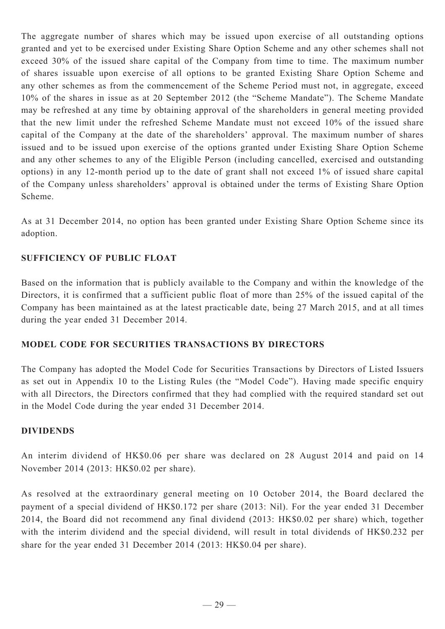The aggregate number of shares which may be issued upon exercise of all outstanding options granted and yet to be exercised under Existing Share Option Scheme and any other schemes shall not exceed 30% of the issued share capital of the Company from time to time. The maximum number of shares issuable upon exercise of all options to be granted Existing Share Option Scheme and any other schemes as from the commencement of the Scheme Period must not, in aggregate, exceed 10% of the shares in issue as at 20 September 2012 (the "Scheme Mandate"). The Scheme Mandate may be refreshed at any time by obtaining approval of the shareholders in general meeting provided that the new limit under the refreshed Scheme Mandate must not exceed 10% of the issued share capital of the Company at the date of the shareholders' approval. The maximum number of shares issued and to be issued upon exercise of the options granted under Existing Share Option Scheme and any other schemes to any of the Eligible Person (including cancelled, exercised and outstanding options) in any 12-month period up to the date of grant shall not exceed 1% of issued share capital of the Company unless shareholders' approval is obtained under the terms of Existing Share Option Scheme.

As at 31 December 2014, no option has been granted under Existing Share Option Scheme since its adoption.

# **SUFFICIENCY OF PUBLIC FLOAT**

Based on the information that is publicly available to the Company and within the knowledge of the Directors, it is confirmed that a sufficient public float of more than 25% of the issued capital of the Company has been maintained as at the latest practicable date, being 27 March 2015, and at all times during the year ended 31 December 2014.

## **Model Code for Securities Transactions by Directors**

The Company has adopted the Model Code for Securities Transactions by Directors of Listed Issuers as set out in Appendix 10 to the Listing Rules (the "Model Code"). Having made specific enquiry with all Directors, the Directors confirmed that they had complied with the required standard set out in the Model Code during the year ended 31 December 2014.

## **DIVIDENDS**

An interim dividend of HK\$0.06 per share was declared on 28 August 2014 and paid on 14 November 2014 (2013: HK\$0.02 per share).

As resolved at the extraordinary general meeting on 10 October 2014, the Board declared the payment of a special dividend of HK\$0.172 per share (2013: Nil). For the year ended 31 December 2014, the Board did not recommend any final dividend (2013: HK\$0.02 per share) which, together with the interim dividend and the special dividend, will result in total dividends of HK\$0.232 per share for the year ended 31 December 2014 (2013: HK\$0.04 per share).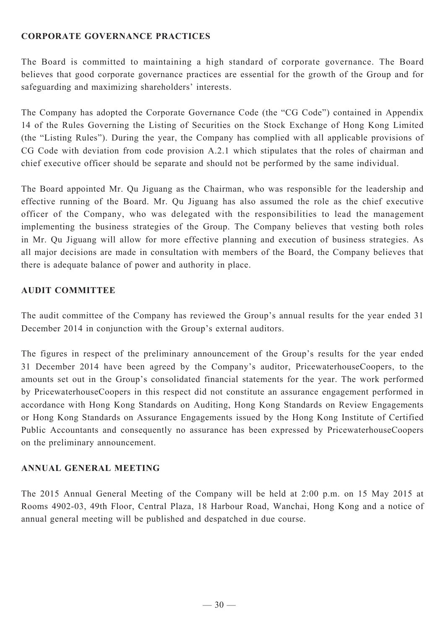# **Corporate Governance Practices**

The Board is committed to maintaining a high standard of corporate governance. The Board believes that good corporate governance practices are essential for the growth of the Group and for safeguarding and maximizing shareholders' interests.

The Company has adopted the Corporate Governance Code (the "CG Code") contained in Appendix 14 of the Rules Governing the Listing of Securities on the Stock Exchange of Hong Kong Limited (the "Listing Rules"). During the year, the Company has complied with all applicable provisions of CG Code with deviation from code provision A.2.1 which stipulates that the roles of chairman and chief executive officer should be separate and should not be performed by the same individual.

The Board appointed Mr. Qu Jiguang as the Chairman, who was responsible for the leadership and effective running of the Board. Mr. Qu Jiguang has also assumed the role as the chief executive officer of the Company, who was delegated with the responsibilities to lead the management implementing the business strategies of the Group. The Company believes that vesting both roles in Mr. Qu Jiguang will allow for more effective planning and execution of business strategies. As all major decisions are made in consultation with members of the Board, the Company believes that there is adequate balance of power and authority in place.

## **AUDIT COMMITTEE**

The audit committee of the Company has reviewed the Group's annual results for the year ended 31 December 2014 in conjunction with the Group's external auditors.

The figures in respect of the preliminary announcement of the Group's results for the year ended 31 December 2014 have been agreed by the Company's auditor, PricewaterhouseCoopers, to the amounts set out in the Group's consolidated financial statements for the year. The work performed by PricewaterhouseCoopers in this respect did not constitute an assurance engagement performed in accordance with Hong Kong Standards on Auditing, Hong Kong Standards on Review Engagements or Hong Kong Standards on Assurance Engagements issued by the Hong Kong Institute of Certified Public Accountants and consequently no assurance has been expressed by PricewaterhouseCoopers on the preliminary announcement.

## **ANNUAL GENERAL MEETING**

The 2015 Annual General Meeting of the Company will be held at 2:00 p.m. on 15 May 2015 at Rooms 4902-03, 49th Floor, Central Plaza, 18 Harbour Road, Wanchai, Hong Kong and a notice of annual general meeting will be published and despatched in due course.